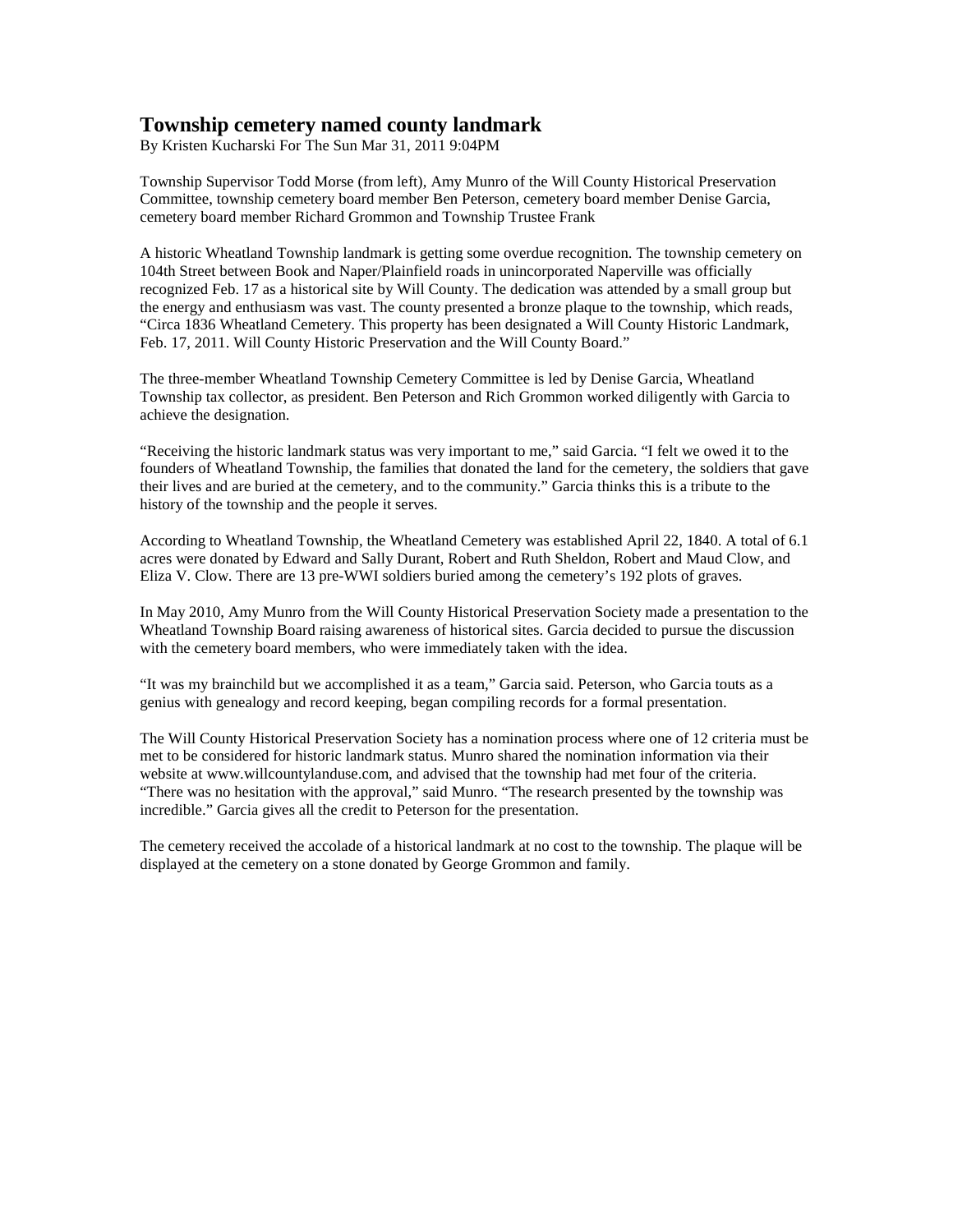## **Township cemetery named county landmark**

By Kristen Kucharski For The Sun Mar 31, 2011 9:04PM

Township Supervisor Todd Morse (from left), Amy Munro of the Will County Historical Preservation Committee, township cemetery board member Ben Peterson, cemetery board member Denise Garcia, cemetery board member Richard Grommon and Township Trustee Frank

A historic Wheatland Township landmark is getting some overdue recognition. The township cemetery on 104th Street between Book and Naper/Plainfield roads in unincorporated Naperville was officially recognized Feb. 17 as a historical site by Will County. The dedication was attended by a small group but the energy and enthusiasm was vast. The county presented a bronze plaque to the township, which reads, "Circa 1836 Wheatland Cemetery. This property has been designated a Will County Historic Landmark, Feb. 17, 2011. Will County Historic Preservation and the Will County Board."

The three-member Wheatland Township Cemetery Committee is led by Denise Garcia, Wheatland Township tax collector, as president. Ben Peterson and Rich Grommon worked diligently with Garcia to achieve the designation.

"Receiving the historic landmark status was very important to me," said Garcia. "I felt we owed it to the founders of Wheatland Township, the families that donated the land for the cemetery, the soldiers that gave their lives and are buried at the cemetery, and to the community." Garcia thinks this is a tribute to the history of the township and the people it serves.

According to Wheatland Township, the Wheatland Cemetery was established April 22, 1840. A total of 6.1 acres were donated by Edward and Sally Durant, Robert and Ruth Sheldon, Robert and Maud Clow, and Eliza V. Clow. There are 13 pre-WWI soldiers buried among the cemetery's 192 plots of graves.

In May 2010, Amy Munro from the Will County Historical Preservation Society made a presentation to the Wheatland Township Board raising awareness of historical sites. Garcia decided to pursue the discussion with the cemetery board members, who were immediately taken with the idea.

"It was my brainchild but we accomplished it as a team," Garcia said. Peterson, who Garcia touts as a genius with genealogy and record keeping, began compiling records for a formal presentation.

The Will County Historical Preservation Society has a nomination process where one of 12 criteria must be met to be considered for historic landmark status. Munro shared the nomination information via their website at www.willcountylanduse.com, and advised that the township had met four of the criteria. "There was no hesitation with the approval," said Munro. "The research presented by the township was incredible." Garcia gives all the credit to Peterson for the presentation.

The cemetery received the accolade of a historical landmark at no cost to the township. The plaque will be displayed at the cemetery on a stone donated by George Grommon and family.